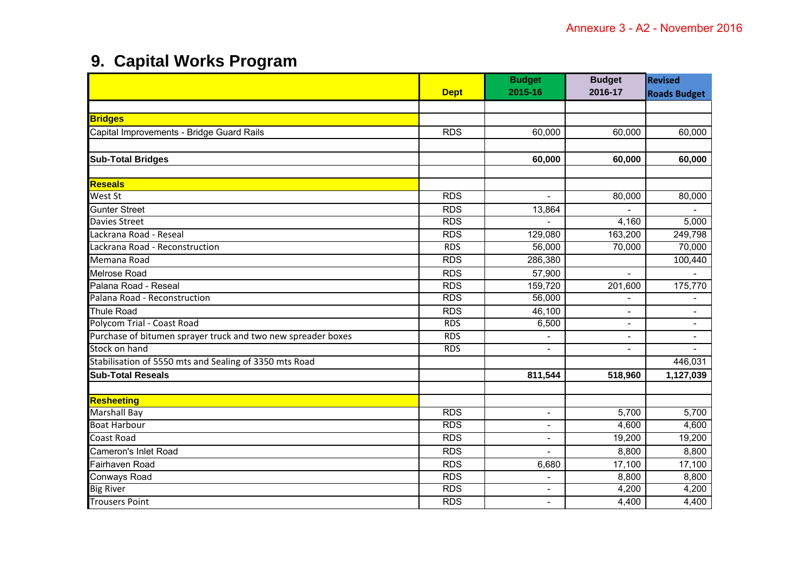## **9. Capital Works Program**

|                                                              |             | <b>Budget</b>            | <b>Budget</b>            | <b>Revised</b>      |  |
|--------------------------------------------------------------|-------------|--------------------------|--------------------------|---------------------|--|
|                                                              | <b>Dept</b> | 2015-16                  | 2016-17                  | <b>Roads Budget</b> |  |
|                                                              |             |                          |                          |                     |  |
| <b>Bridges</b>                                               |             |                          |                          |                     |  |
| Capital Improvements - Bridge Guard Rails                    | <b>RDS</b>  | 60,000                   | 60,000                   | 60,000              |  |
|                                                              |             |                          |                          |                     |  |
| <b>Sub-Total Bridges</b>                                     |             | 60,000                   | 60,000                   | 60,000              |  |
| <b>Reseals</b>                                               |             |                          |                          |                     |  |
| West St                                                      | <b>RDS</b>  | $\blacksquare$           | 80,000                   | 80,000              |  |
| <b>Gunter Street</b>                                         | <b>RDS</b>  | 13,864                   |                          |                     |  |
| <b>Davies Street</b>                                         | <b>RDS</b>  |                          | 4,160                    | 5,000               |  |
| Lackrana Road - Reseal                                       | <b>RDS</b>  | 129,080                  | 163,200                  | 249,798             |  |
| Lackrana Road - Reconstruction                               |             |                          |                          |                     |  |
|                                                              | <b>RDS</b>  | 56,000                   | 70,000                   | 70,000              |  |
| Memana Road                                                  | <b>RDS</b>  | 286,380                  |                          | 100,440             |  |
| <b>Melrose Road</b>                                          | <b>RDS</b>  | 57,900                   | $\overline{\phantom{0}}$ |                     |  |
| Palana Road - Reseal                                         | <b>RDS</b>  | 159,720                  | 201,600                  | 175,770             |  |
| Palana Road - Reconstruction                                 | <b>RDS</b>  | 56,000                   |                          |                     |  |
| <b>Thule Road</b>                                            | <b>RDS</b>  | 46,100                   | $\overline{a}$           |                     |  |
| Polycom Trial - Coast Road                                   | <b>RDS</b>  | 6,500                    | $\overline{a}$           |                     |  |
| Purchase of bitumen sprayer truck and two new spreader boxes | <b>RDS</b>  |                          | -                        |                     |  |
| Stock on hand                                                | <b>RDS</b>  | $\overline{\phantom{a}}$ | ۰                        |                     |  |
| Stabilisation of 5550 mts and Sealing of 3350 mts Road       |             |                          |                          | 446,031             |  |
| <b>Sub-Total Reseals</b>                                     |             | 811,544                  | 518,960                  | 1,127,039           |  |
|                                                              |             |                          |                          |                     |  |
| <b>Resheeting</b>                                            |             |                          |                          |                     |  |
| <b>Marshall Bay</b>                                          | <b>RDS</b>  | $\mathbf{r}$             | 5,700                    | 5,700               |  |
| <b>Boat Harbour</b>                                          | <b>RDS</b>  | $\overline{\phantom{a}}$ | 4,600                    | 4,600               |  |
| Coast Road                                                   | <b>RDS</b>  | $\overline{a}$           | 19,200                   | 19,200              |  |
| Cameron's Inlet Road                                         | <b>RDS</b>  |                          | 8,800                    | 8,800               |  |
| Fairhaven Road                                               | <b>RDS</b>  | 6,680                    | 17,100                   | 17,100              |  |
| <b>Conways Road</b>                                          | <b>RDS</b>  |                          | 8,800                    | 8,800               |  |
| <b>Big River</b>                                             | <b>RDS</b>  | $\overline{a}$           | 4,200                    | 4,200               |  |
| <b>Trousers Point</b>                                        | <b>RDS</b>  | $\overline{\phantom{a}}$ | 4,400                    | 4,400               |  |